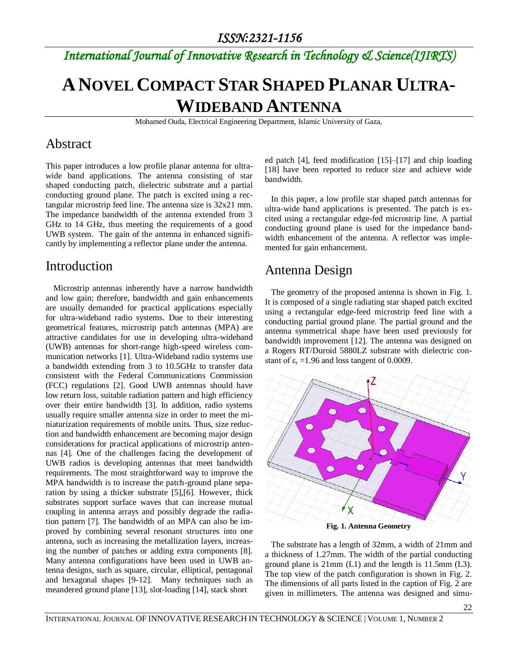## *International Journal of Innovative Research in Technology & Science(IJIRTS)*

# **ANOVEL COMPACT STAR SHAPED PLANAR ULTRA-WIDEBAND ANTENNA**

Mohamed Ouda, Electrical Engineering Department, Islamic University of Gaza,

### Abstract

This paper introduces a low profile planar antenna for ultrawide band applications. The antenna consisting of star shaped conducting patch, dielectric substrate and a partial conducting ground plane. The patch is excited using a rectangular microstrip feed line. The antenna size is 32x21 mm. The impedance bandwidth of the antenna extended from 3 GHz to 14 GHz, thus meeting the requirements of a good UWB system. The gain of the antenna in enhanced significantly by implementing a reflector plane under the antenna.

### Introduction

Microstrip antennas inherently have a narrow bandwidth and low gain; therefore, bandwidth and gain enhancements are usually demanded for practical applications especially for ultra-wideband radio systems. Due to their interesting geometrical features, microstrip patch antennas (MPA) are attractive candidates for use in developing ultra-wideband (UWB) antennas for short-range high-speed wireless communication networks [1]. Ultra-Wideband radio systems use a bandwidth extending from 3 to 10.5GHz to transfer data consistent with the Federal Communications Commission (FCC) regulations [2]. Good UWB antennas should have low return loss, suitable radiation pattern and high efficiency over their entire bandwidth [3]. In addition, radio systems usually require smaller antenna size in order to meet the miniaturization requirements of mobile units. Thus, size reduction and bandwidth enhancement are becoming major design considerations for practical applications of microstrip antennas [4]. One of the challenges facing the development of UWB radios is developing antennas that meet bandwidth requirements. The most straightforward way to improve the MPA bandwidth is to increase the patch-ground plane separation by using a thicker substrate [5],[6]. However, thick substrates support surface waves that can increase mutual coupling in antenna arrays and possibly degrade the radiation pattern [7]. The bandwidth of an MPA can also be improved by combining several resonant structures into one antenna, such as increasing the metallization layers, increasing the number of patches or adding extra components [8]. Many antenna configurations have been used in UWB antenna designs, such as square, circular, elliptical, pentagonal and hexagonal shapes [9-12]. Many techniques such as meandered ground plane [13], slot-loading [14], stack short

ed patch [4], feed modification [15]–[17] and chip loading [18] have been reported to reduce size and achieve wide bandwidth.

 In this paper, a low profile star shaped patch antennas for ultra-wide band applications is presented. The patch is excited using a rectangular edge-fed microstrip line. A partial conducting ground plane is used for the impedance bandwidth enhancement of the antenna. A reflector was implemented for gain enhancement.

### Antenna Design

 The geometry of the proposed antenna is shown in Fig. 1. It is composed of a single radiating star shaped patch excited using a rectangular edge-feed microstrip feed line with a conducting partial ground plane. The partial ground and the antenna symmetrical shape have been used previously for bandwidth improvement [12]. The antenna was designed on a Rogers RT/Duroid 5880LZ substrate with dielectric constant of  $\varepsilon_r = 1.96$  and loss tangent of 0.0009.



**Fig. 1. Antenna Geometry**

 The substrate has a length of 32mm, a width of 21mm and a thickness of 1.27mm. The width of the partial conducting ground plane is 21mm (L1) and the length is 11.5mm (L3). The top view of the patch configuration is shown in Fig. 2. The dimensions of all parts listed in the caption of Fig. 2 are given in millimeters. The antenna was designed and simu-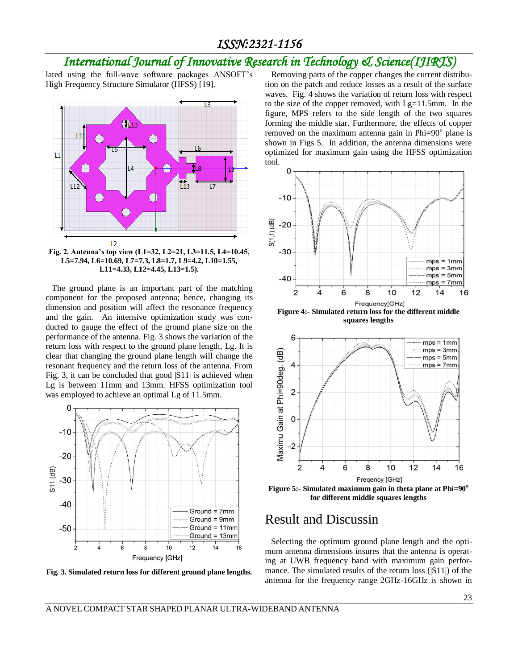### *International Journal of Innovative Research in Technology & Science(IJIRTS)*

lated using the full-wave software packages ANSOFT's High Frequency Structure Simulator (HFSS) [19].



 The ground plane is an important part of the matching component for the proposed antenna; hence, changing its dimension and position will affect the resonance frequency and the gain. An intensive optimization study was conducted to gauge the effect of the ground plane size on the performance of the antenna. Fig. 3 shows the variation of the return loss with respect to the ground plane length, Lg. It is clear that changing the ground plane length will change the resonant frequency and the return loss of the antenna. From Fig. 3, it can be concluded that good |S11| is achieved when Lg is between 11mm and 13mm. HFSS optimization tool was employed to achieve an optimal Lg of 11.5mm.



**Fig. 3. Simulated return loss for different ground plane lengths.**

 Removing parts of the copper changes the current distribution on the patch and reduce losses as a result of the surface waves. Fig. 4 shows the variation of return loss with respect to the size of the copper removed, with  $Lg=11.5$ mm. In the figure, MPS refers to the side length of the two squares forming the middle star. Furthermore, the effects of copper removed on the maximum antenna gain in Phi= $90^\circ$  plane is shown in Figs 5. In addition, the antenna dimensions were optimized for maximum gain using the HFSS optimization tool.



**Figure 4:- Simulated return loss for the different middle squares lengths**



**Figure 5:- Simulated maximum gain in theta plane at Phi=90<sup>o</sup> for different middle squares lengths**

#### Result and Discussin

 Selecting the optimum ground plane length and the optimum antenna dimensions insures that the antenna is operating at UWB frequency band with maximum gain performance. The simulated results of the return loss ( $|S11|$ ) of the antenna for the frequency range 2GHz-16GHz is shown in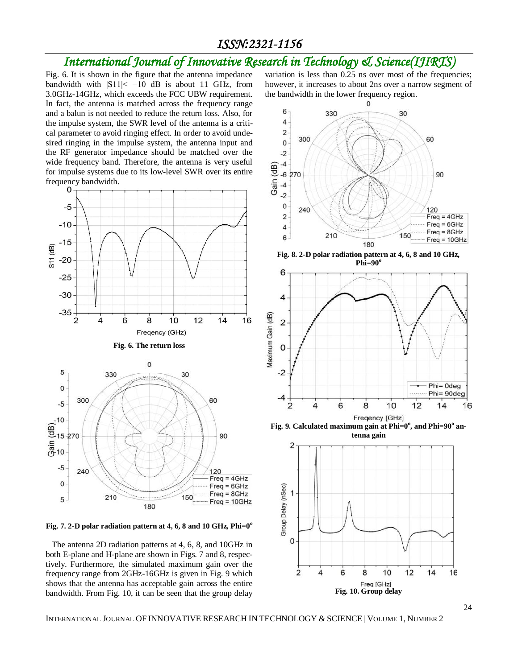### *International Journal of Innovative Research in Technology & Science(IJIRTS)*

Fig. 6. It is shown in the figure that the antenna impedance bandwidth with  $|S11| < -10$  dB is about 11 GHz, from 3.0GHz-14GHz, which exceeds the FCC UBW requirement. In fact, the antenna is matched across the frequency range and a balun is not needed to reduce the return loss. Also, for the impulse system, the SWR level of the antenna is a critical parameter to avoid ringing effect. In order to avoid undesired ringing in the impulse system, the antenna input and the RF generator impedance should be matched over the wide frequency band. Therefore, the antenna is very useful for impulse systems due to its low-level SWR over its entire frequency bandwidth.



**Fig. 7. 2-D polar radiation pattern at 4, 6, 8 and 10 GHz, Phi=0<sup>o</sup>**

 The antenna 2D radiation patterns at 4, 6, 8, and 10GHz in both E-plane and H-plane are shown in Figs. 7 and 8, respectively. Furthermore, the simulated maximum gain over the frequency range from 2GHz-16GHz is given in Fig. 9 which shows that the antenna has acceptable gain across the entire bandwidth. From Fig. 10, it can be seen that the group delay variation is less than 0.25 ns over most of the frequencies; however, it increases to about 2ns over a narrow segment of the bandwidth in the lower frequency region.



**Fig. 8. 2-D polar radiation pattern at 4, 6, 8 and 10 GHz, Phi=90<sup>o</sup>**



Fig. 9. Calculated maximum gain at Phi=0<sup>o</sup>, and Phi=90<sup>o</sup> an**tenna gain**



INTERNATIONAL JOURNAL OF INNOVATIVE RESEARCH IN TECHNOLOGY & SCIENCE | VOLUME 1, NUMBER 2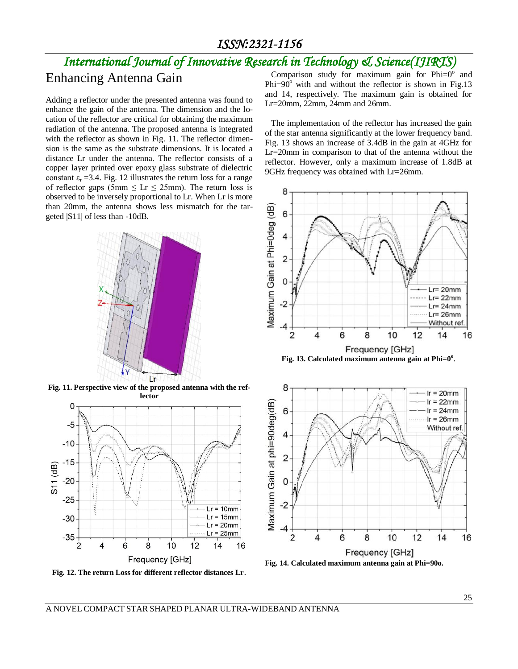# *International Journal of Innovative Research in Technology & Science(IJIRTS)*

### Enhancing Antenna Gain

Adding a reflector under the presented antenna was found to enhance the gain of the antenna. The dimension and the location of the reflector are critical for obtaining the maximum radiation of the antenna. The proposed antenna is integrated with the reflector as shown in Fig. 11. The reflector dimension is the same as the substrate dimensions. It is located a distance Lr under the antenna. The reflector consists of a copper layer printed over epoxy glass substrate of dielectric constant  $\varepsilon_r = 3.4$ . Fig. 12 illustrates the return loss for a range of reflector gaps (5mm  $\leq$  Lr  $\leq$  25mm). The return loss is observed to be inversely proportional to Lr. When Lr is more than 20mm, the antenna shows less mismatch for the targeted |S11| of less than -10dB.



**Fig. 11. Perspective view of the proposed antenna with the reflector**



Comparison study for maximum gain for  $Phi=0^{\circ}$  and Phi= $90^\circ$  with and without the reflector is shown in Fig.13 and 14, respectively. The maximum gain is obtained for Lr=20mm, 22mm, 24mm and 26mm.

 The implementation of the reflector has increased the gain of the star antenna significantly at the lower frequency band. Fig. 13 shows an increase of 3.4dB in the gain at 4GHz for Lr=20mm in comparison to that of the antenna without the reflector. However, only a maximum increase of 1.8dB at 9GHz frequency was obtained with Lr=26mm.



**Fig. 14. Calculated maximum antenna gain at Phi=90o.** 

**Fig. 12. The return Loss for different reflector distances Lr**.